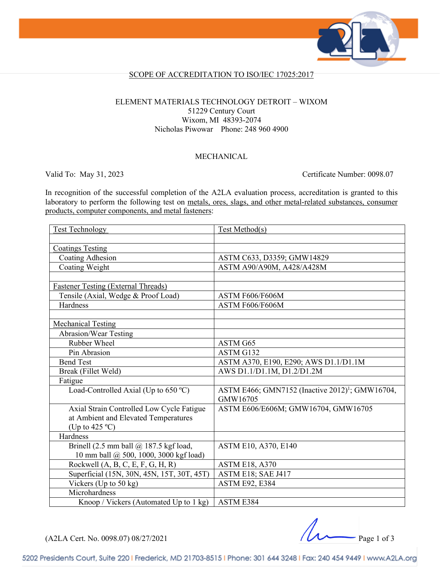

### SCOPE OF ACCREDITATION TO ISO/IEC 17025:2017

#### ELEMENT MATERIALS TECHNOLOGY DETROIT – WIXOM 51229 Century Court Wixom, MI 48393-2074 Nicholas Piwowar Phone: 248 960 4900

### MECHANICAL

Valid To: May 31, 2023 Certificate Number: 0098.07

In recognition of the successful completion of the A2LA evaluation process, accreditation is granted to this laboratory to perform the following test on metals, ores, slags, and other metal-related substances, consumer products, computer components, and metal fasteners:

| <b>Test Technology</b>                     | Test Method(s)                                                          |
|--------------------------------------------|-------------------------------------------------------------------------|
|                                            |                                                                         |
| <b>Coatings Testing</b>                    |                                                                         |
| Coating Adhesion                           | ASTM C633, D3359; GMW14829                                              |
| Coating Weight                             | ASTM A90/A90M, A428/A428M                                               |
|                                            |                                                                         |
| <b>Fastener Testing (External Threads)</b> |                                                                         |
| Tensile (Axial, Wedge & Proof Load)        | ASTM F606/F606M                                                         |
| Hardness                                   | ASTM F606/F606M                                                         |
|                                            |                                                                         |
| <b>Mechanical Testing</b>                  |                                                                         |
| <b>Abrasion/Wear Testing</b>               |                                                                         |
| Rubber Wheel                               | ASTM G65                                                                |
| Pin Abrasion                               | ASTM G132                                                               |
| <b>Bend Test</b>                           | ASTM A370, E190, E290; AWS D1.1/D1.1M                                   |
| Break (Fillet Weld)                        | AWS D1.1/D1.1M, D1.2/D1.2M                                              |
| Fatigue                                    |                                                                         |
| Load-Controlled Axial (Up to 650 °C)       | ASTM E466; GMN7152 (Inactive 2012) <sup>1</sup> ; GMW16704,<br>GMW16705 |
| Axial Strain Controlled Low Cycle Fatigue  | ASTM E606/E606M; GMW16704, GMW16705                                     |
| at Ambient and Elevated Temperatures       |                                                                         |
| (Up to $425^{\circ}$ C)                    |                                                                         |
| Hardness                                   |                                                                         |
| Brinell (2.5 mm ball @ 187.5 kgf load,     | ASTM E10, A370, E140                                                    |
| 10 mm ball @ 500, 1000, 3000 kgf load)     |                                                                         |
| Rockwell $(A, B, C, E, F, G, H, R)$        | <b>ASTM E18, A370</b>                                                   |
| Superficial (15N, 30N, 45N, 15T, 30T, 45T) | ASTM E18; SAE J417                                                      |
| Vickers (Up to $50 \text{ kg}$ )           | <b>ASTM E92, E384</b>                                                   |
| Microhardness                              |                                                                         |
| Knoop / Vickers (Automated Up to 1 kg)     | ASTM E384                                                               |

(A2LA Cert. No. 0098.07) 08/27/2021 Page 1 of 3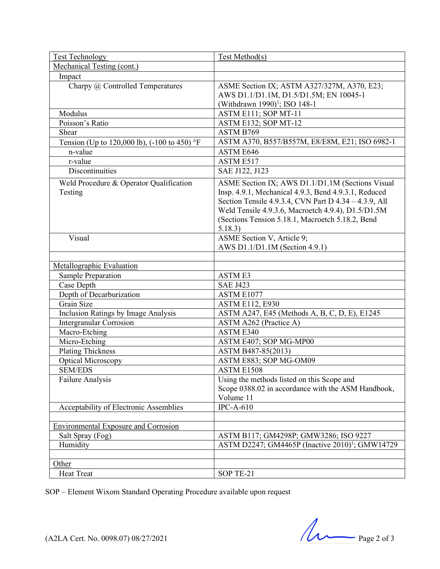| <b>Test Technology</b>                             | Test Method(s)                                                                                                                                                                                                                                                                         |
|----------------------------------------------------|----------------------------------------------------------------------------------------------------------------------------------------------------------------------------------------------------------------------------------------------------------------------------------------|
| Mechanical Testing (cont.)                         |                                                                                                                                                                                                                                                                                        |
| Impact                                             |                                                                                                                                                                                                                                                                                        |
| Charpy @ Controlled Temperatures                   | ASME Section IX; ASTM A327/327M, A370, E23;<br>AWS D1.1/D1.1M, D1.5/D1.5M; EN 10045-1<br>(Withdrawn 1990) <sup>1</sup> ; ISO 148-1                                                                                                                                                     |
| Modulus                                            | ASTM E111; SOP MT-11                                                                                                                                                                                                                                                                   |
| Poisson's Ratio                                    | ASTM E132; SOP MT-12                                                                                                                                                                                                                                                                   |
| Shear                                              | ASTM B769                                                                                                                                                                                                                                                                              |
| Tension (Up to 120,000 lb), (-100 to 450) °F       | ASTM A370, B557/B557M, E8/E8M, E21; ISO 6982-1                                                                                                                                                                                                                                         |
| n-value                                            | ASTM E646                                                                                                                                                                                                                                                                              |
| r-value                                            | ASTM E517                                                                                                                                                                                                                                                                              |
| <b>Discontinuities</b>                             | SAE J122, J123                                                                                                                                                                                                                                                                         |
| Weld Procedure & Operator Qualification<br>Testing | ASME Section IX; AWS D1.1/D1.1M (Sections Visual<br>Insp. 4.9.1, Mechanical 4.9.3, Bend 4.9.3.1, Reduced<br>Section Tensile 4.9.3.4, CVN Part D 4.34 - 4.3.9, All<br>Weld Tensile 4.9.3.6, Macroetch 4.9.4), D1.5/D1.5M<br>(Sections Tension 5.18.1, Macroetch 5.18.2, Bend<br>5.18.3) |
| Visual                                             | ASME Section V, Article 9;                                                                                                                                                                                                                                                             |
|                                                    | AWS D1.1/D1.1M (Section 4.9.1)                                                                                                                                                                                                                                                         |
|                                                    |                                                                                                                                                                                                                                                                                        |
| Metallographic Evaluation                          |                                                                                                                                                                                                                                                                                        |
| Sample Preparation                                 | <b>ASTME3</b>                                                                                                                                                                                                                                                                          |
| Case Depth                                         | <b>SAE J423</b>                                                                                                                                                                                                                                                                        |
| Depth of Decarburization                           | ASTM E1077                                                                                                                                                                                                                                                                             |
| Grain Size                                         | <b>ASTM E112, E930</b>                                                                                                                                                                                                                                                                 |
| Inclusion Ratings by Image Analysis                | ASTM A247, E45 (Methods A, B, C, D, E), E1245                                                                                                                                                                                                                                          |
| <b>Intergranular Corrosion</b>                     | ASTM A262 (Practice A)                                                                                                                                                                                                                                                                 |
| Macro-Etching                                      | ASTM E340                                                                                                                                                                                                                                                                              |
| Micro-Etching                                      | ASTM E407; SOP MG-MP00                                                                                                                                                                                                                                                                 |
| <b>Plating Thickness</b>                           | ASTM B487-85(2013)                                                                                                                                                                                                                                                                     |
| Optical Microscopy                                 | ASTM E883; SOP MG-OM09                                                                                                                                                                                                                                                                 |
| <b>SEM/EDS</b>                                     | ASTM E1508                                                                                                                                                                                                                                                                             |
| Failure Analysis                                   | Using the methods listed on this Scope and                                                                                                                                                                                                                                             |
|                                                    | Scope 0388.02 in accordance with the ASM Handbook,                                                                                                                                                                                                                                     |
|                                                    | Volume 11                                                                                                                                                                                                                                                                              |
| Acceptability of Electronic Assemblies             | $\overline{\text{IPC-A-610}}$                                                                                                                                                                                                                                                          |
|                                                    |                                                                                                                                                                                                                                                                                        |
| <b>Environmental Exposure and Corrosion</b>        |                                                                                                                                                                                                                                                                                        |
| Salt Spray (Fog)                                   | ASTM B117; GM4298P; GMW3286; ISO 9227                                                                                                                                                                                                                                                  |
| Humidity                                           | ASTM D2247; GM4465P (Inactive 2010) <sup>1</sup> ; GMW14729                                                                                                                                                                                                                            |
|                                                    |                                                                                                                                                                                                                                                                                        |
| Other                                              |                                                                                                                                                                                                                                                                                        |
| <b>Heat Treat</b>                                  | SOP TE-21                                                                                                                                                                                                                                                                              |

SOP – Element Wixom Standard Operating Procedure available upon request

 $(42LA$  Cert. No. 0098.07) 08/27/2021 Page 2 of 3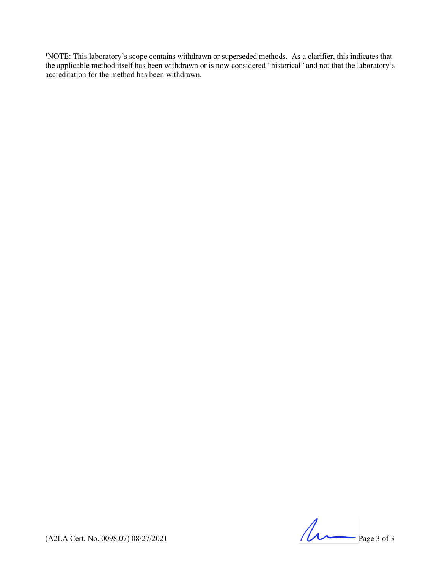<sup>1</sup>NOTE: This laboratory's scope contains withdrawn or superseded methods. As a clarifier, this indicates that the applicable method itself has been withdrawn or is now considered "historical" and not that the laboratory's accreditation for the method has been withdrawn.

 $(A2LA$  Cert. No. 0098.07) 08/27/2021 Page 3 of 3